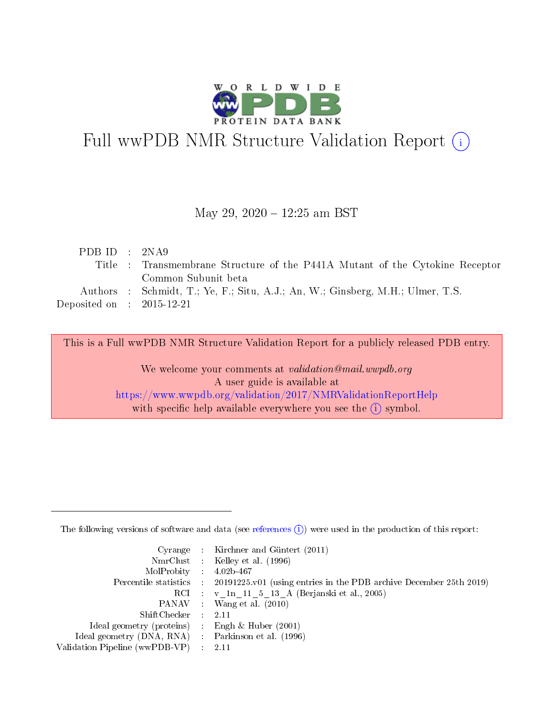

# Full wwPDB NMR Structure Validation Report (i)

### May 29, 2020 - 12:25 am BST

| Title : Transmembrane Structure of the P441A Mutant of the Cytokine Receptor   |
|--------------------------------------------------------------------------------|
|                                                                                |
| Authors : Schmidt, T.; Ye, F.; Situ, A.J.; An, W.; Ginsberg, M.H.; Ulmer, T.S. |
|                                                                                |
|                                                                                |

This is a Full wwPDB NMR Structure Validation Report for a publicly released PDB entry. We welcome your comments at validation@mail.wwpdb.org

A user guide is available at <https://www.wwpdb.org/validation/2017/NMRValidationReportHelp> with specific help available everywhere you see the  $(i)$  symbol.

The following versions of software and data (see [references](https://www.wwpdb.org/validation/2017/NMRValidationReportHelp#references)  $(1)$ ) were used in the production of this report:

|                                                     | Cyrange : Kirchner and Güntert (2011)                                                      |
|-----------------------------------------------------|--------------------------------------------------------------------------------------------|
|                                                     | NmrClust : Kelley et al. (1996)                                                            |
| $MolProbability$ 4.02b-467                          |                                                                                            |
|                                                     | Percentile statistics : 20191225.v01 (using entries in the PDB archive December 25th 2019) |
|                                                     | RCI : v 1n 11 5 13 A (Berjanski et al., 2005)                                              |
|                                                     | PANAV : Wang et al. (2010)                                                                 |
| $ShiftChecker$ : 2.11                               |                                                                                            |
| Ideal geometry (proteins) : Engh $\&$ Huber (2001)  |                                                                                            |
| Ideal geometry (DNA, RNA) : Parkinson et al. (1996) |                                                                                            |
| Validation Pipeline (wwPDB-VP)                      | - 2.11                                                                                     |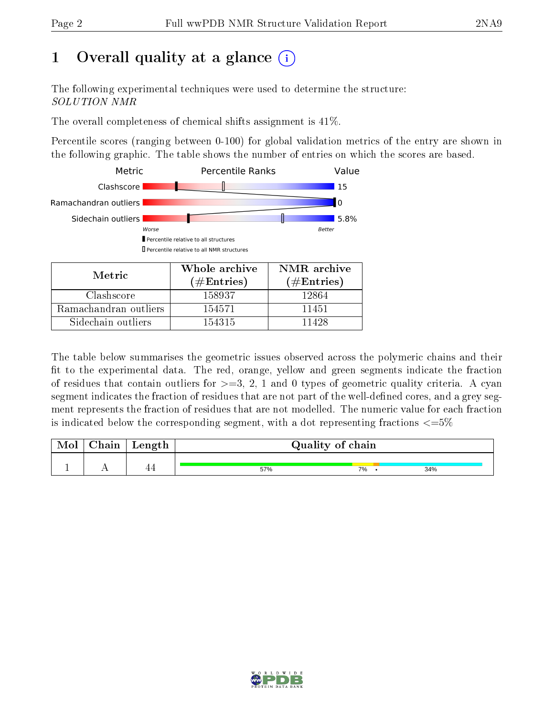# 1 [O](https://www.wwpdb.org/validation/2017/NMRValidationReportHelp#overall_quality)verall quality at a glance (i)

The following experimental techniques were used to determine the structure: SOLUTION NMR

The overall completeness of chemical shifts assignment is 41%.

Percentile scores (ranging between 0-100) for global validation metrics of the entry are shown in the following graphic. The table shows the number of entries on which the scores are based.



The table below summarises the geometric issues observed across the polymeric chains and their fit to the experimental data. The red, orange, yellow and green segments indicate the fraction of residues that contain outliers for  $>=3, 2, 1$  and 0 types of geometric quality criteria. A cyan segment indicates the fraction of residues that are not part of the well-defined cores, and a grey segment represents the fraction of residues that are not modelled. The numeric value for each fraction is indicated below the corresponding segment, with a dot representing fractions  $\epsilon = 5\%$ 

| Mol | ${\bf Chain}$ | Length | Quality of chain |    |     |  |  |  |
|-----|---------------|--------|------------------|----|-----|--|--|--|
|     |               |        |                  |    |     |  |  |  |
|     |               | 44     | 57%              | 7% | 34% |  |  |  |

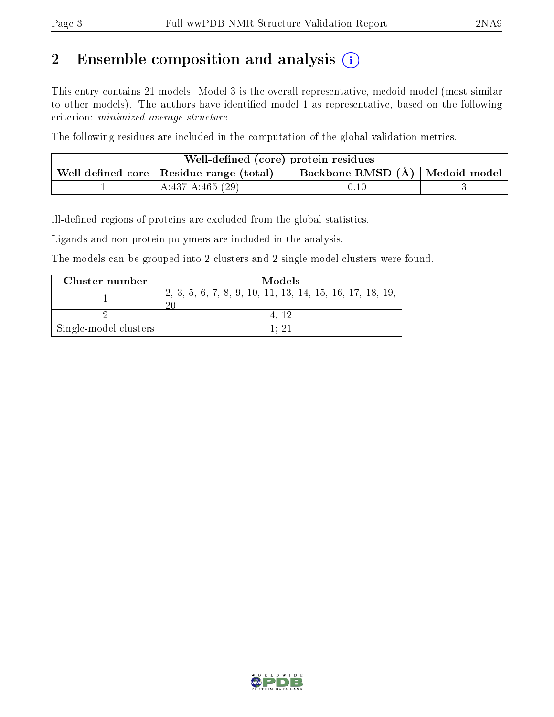# 2 Ensemble composition and analysis  $(i)$

This entry contains 21 models. Model 3 is the overall representative, medoid model (most similar to other models). The authors have identified model 1 as representative, based on the following criterion: minimized average structure.

The following residues are included in the computation of the global validation metrics.

| Well-defined (core) protein residues |                                                         |                                    |  |  |  |
|--------------------------------------|---------------------------------------------------------|------------------------------------|--|--|--|
|                                      | . Well-defined core $\mid$ Residue range (total) $\mid$ | Backbone RMSD $(A)$   Medoid model |  |  |  |
|                                      | $A:437-A:465(29)$                                       | 0.10                               |  |  |  |

Ill-defined regions of proteins are excluded from the global statistics.

Ligands and non-protein polymers are included in the analysis.

The models can be grouped into 2 clusters and 2 single-model clusters were found.

| Cluster number        | Models                                                                   |
|-----------------------|--------------------------------------------------------------------------|
|                       | $\overline{2, 3, 5, 6, 7, 8, 9, 10, 11, 13, 14, 15, 16, 17, 18, 19, 10}$ |
|                       |                                                                          |
| Single-model clusters | 1. 21                                                                    |

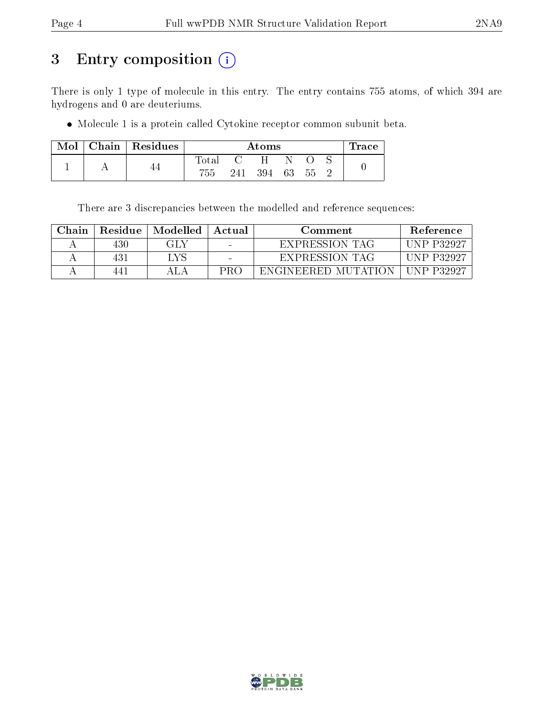# 3 Entry composition (i)

There is only 1 type of molecule in this entry. The entry contains 755 atoms, of which 394 are hydrogens and 0 are deuteriums.

Molecule 1 is a protein called Cytokine receptor common subunit beta.

| Mol |  | Chain   Residues | $\rm{Atoms}$ |     |    |    |  | Trace |  |
|-----|--|------------------|--------------|-----|----|----|--|-------|--|
|     |  |                  | $\rm Total$  |     | H  |    |  |       |  |
|     |  | 755              | 241          | 394 | 63 | 55 |  |       |  |

There are 3 discrepancies between the modelled and reference sequences:

| Chain | Residue | Modelled | Actual                   | Comment             | <b>Reference</b>   |
|-------|---------|----------|--------------------------|---------------------|--------------------|
|       | 430     | GLY      | $\overline{\phantom{0}}$ | EXPRESSION TAG      | <b>IINP P32927</b> |
|       | 431     | LVS      |                          | EXPRESSION TAG      | <b>IINP P32927</b> |
|       | 441     | AIA      | PR∩                      | ENGINEERED MUTATION | UNP P32927         |

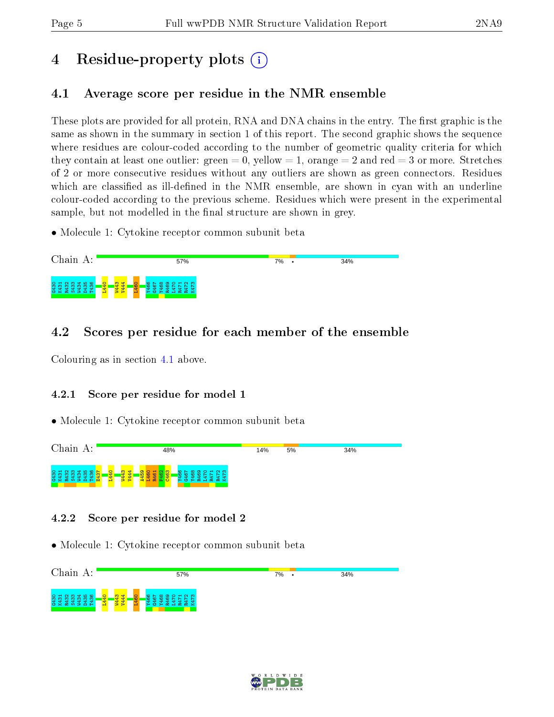# 4 Residue-property plots  $\binom{1}{1}$

## <span id="page-4-0"></span>4.1 Average score per residue in the NMR ensemble

These plots are provided for all protein, RNA and DNA chains in the entry. The first graphic is the same as shown in the summary in section 1 of this report. The second graphic shows the sequence where residues are colour-coded according to the number of geometric quality criteria for which they contain at least one outlier: green  $= 0$ , yellow  $= 1$ , orange  $= 2$  and red  $= 3$  or more. Stretches of 2 or more consecutive residues without any outliers are shown as green connectors. Residues which are classified as ill-defined in the NMR ensemble, are shown in cyan with an underline colour-coded according to the previous scheme. Residues which were present in the experimental sample, but not modelled in the final structure are shown in grey.

• Molecule 1: Cytokine receptor common subunit beta



## 4.2 Scores per residue for each member of the ensemble

Colouring as in section [4.1](#page-4-0) above.

### 4.2.1 Score per residue for model 1

• Molecule 1: Cytokine receptor common subunit beta



### 4.2.2 Score per residue for model 2



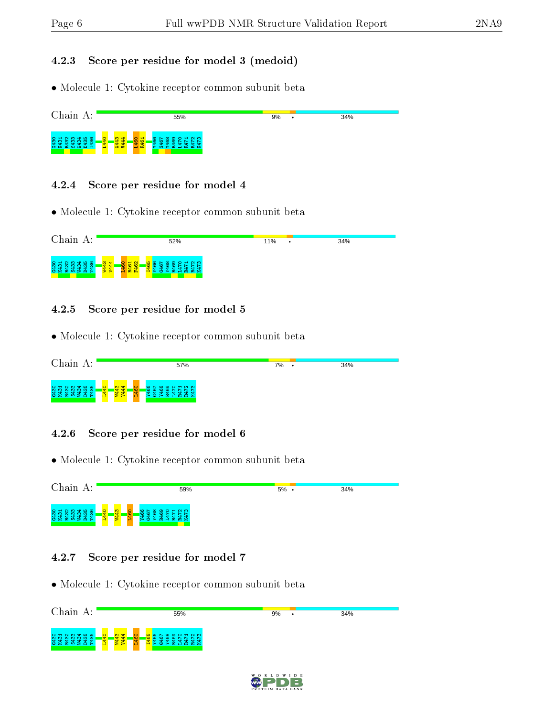#### 4.2.3 Score per residue for model 3 (medoid)

• Molecule 1: Cytokine receptor common subunit beta



#### 4.2.4 Score per residue for model 4

• Molecule 1: Cytokine receptor common subunit beta



#### 4.2.5 Score per residue for model 5

• Molecule 1: Cytokine receptor common subunit beta



#### 4.2.6 Score per residue for model 6

• Molecule 1: Cytokine receptor common subunit beta

| Chain<br>А:                                                                                                       |                                 | 59%                                                                               | $5\%$ . | 34% |
|-------------------------------------------------------------------------------------------------------------------|---------------------------------|-----------------------------------------------------------------------------------|---------|-----|
| <b>Q</b> m d m m<br>$6430$<br>K431<br>$\bullet$<br>2<br>÷<br>÷<br>÷<br>$\alpha$ $\alpha$ $\geq$ $\alpha$<br>- 1-1 | <u>က္</u><br>$\circ$<br>₩<br>÷. | $\sim$ $\infty$<br>റെ<br>$\circ$ $\sim$<br>ന<br>$\approx$ $\times$<br>œ<br>Æ<br>≻ |         |     |

#### 4.2.7 Score per residue for model 7



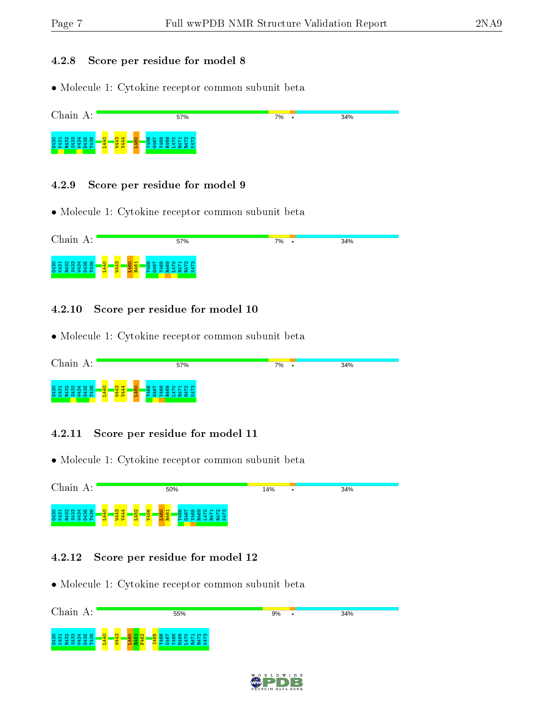#### 4.2.8 Score per residue for model 8

• Molecule 1: Cytokine receptor common subunit beta



#### 4.2.9 Score per residue for model 9

• Molecule 1: Cytokine receptor common subunit beta



#### 4.2.10 Score per residue for model 10

• Molecule 1: Cytokine receptor common subunit beta

| Chain<br>А:                                                                                            |                                                                                         | 57%                                                                   | 7% | $\bullet$ | 34% |
|--------------------------------------------------------------------------------------------------------|-----------------------------------------------------------------------------------------|-----------------------------------------------------------------------|----|-----------|-----|
| $N \omega + \omega$<br>$\frac{430}{431}$<br>$\frac{1}{2}$<br>÷<br>$\circ$ $\times$<br>တ<br>⊷<br>Æ<br>- | <mark>.द्वं द्व</mark> ं ।<br>$\circ$<br>$\overline{\mathbf{d}}$<br>$\approx$ $\approx$ | $\sim$ $\infty$<br>-<br>ີ<br>°<br>œ<br>œ<br>$\approx$ $\times$<br>. . |    |           |     |

#### 4.2.11 Score per residue for model 11

• Molecule 1: Cytokine receptor common subunit beta

| Chain<br>А:                                                                                          | 50%                                                                   |                              |                                                         | 14%                                      | $\bullet$ | 34% |  |
|------------------------------------------------------------------------------------------------------|-----------------------------------------------------------------------|------------------------------|---------------------------------------------------------|------------------------------------------|-----------|-----|--|
| 456<br>$\frac{431}{431}$<br>ന<br>$\scriptstyle\sim$<br>-<br>œ.<br>$\circ$ $\times$<br>ဟ<br>- 33<br>╺ | <mark>प्रमेश</mark><br>प्रसंग<br>$\circ$<br><u>ਚਾ</u><br>$\mathbf{d}$ | <b>G</b><br>-S-<br><u>ιΩ</u> | $\circ$<br>$\mathbf{r}$<br>ဖ<br>~<br><b>O</b><br>置<br>- | <b>NM</b><br>⊣<br>െ<br>∘<br>ണ<br>œ<br>¤≍ |           |     |  |

#### 4.2.12 Score per residue for model 12



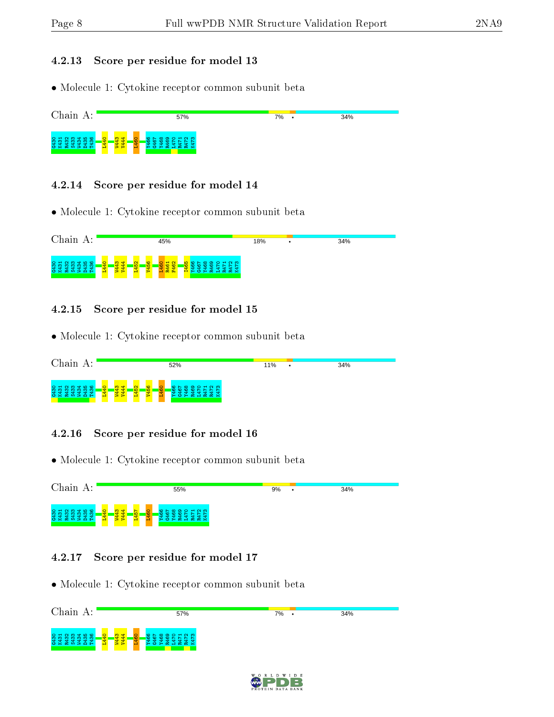#### 4.2.13 Score per residue for model 13

• Molecule 1: Cytokine receptor common subunit beta



#### 4.2.14 Score per residue for model 14

• Molecule 1: Cytokine receptor common subunit beta



#### 4.2.15 Score per residue for model 15

• Molecule 1: Cytokine receptor common subunit beta

| Chain<br>A:                                                  | 52%                                                                                                                                   | 11%<br>$\bullet$ | 34% |
|--------------------------------------------------------------|---------------------------------------------------------------------------------------------------------------------------------------|------------------|-----|
| m<br>$\sim$ $\sim$<br><b>991</b><br>456<br>÷<br>అ≍<br>တ<br>œ | 4<br>$\sim$<br><b>CO</b><br>$H \cap M$<br><b>∞</b><br>∽∼<br>$\circ$<br>െ<br>ਚਾ<br><b>IQ</b><br><b>IO</b><br>œ<br>$x \times$<br>œ<br>ъ |                  |     |

#### 4.2.16 Score per residue for model 16

• Molecule 1: Cytokine receptor common subunit beta

| Chain<br>А:                                                                              | 55%                                                          |                |                                  | 9% | ٠ | 34% |
|------------------------------------------------------------------------------------------|--------------------------------------------------------------|----------------|----------------------------------|----|---|-----|
| <b>NMTHO</b><br><b>991</b><br>- 11<br>-<br>÷<br>œ.<br>$\circ$ $\times$<br>ဟ<br>- 33<br>⊷ | 읇<br>$\ddot{\mathbf{C}}$<br>$\mathbf{d}$<br>÷.<br><u>로 국</u> | <b>IQ</b><br>- | $-0.0$<br>$\circ$<br>െ<br>ന<br>- |    |   |     |

#### 4.2.17 Score per residue for model 17



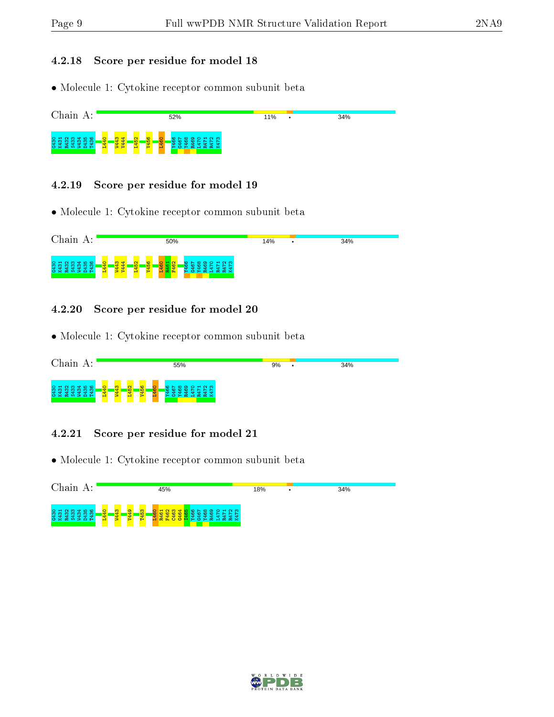#### 4.2.18 Score per residue for model 18

• Molecule 1: Cytokine receptor common subunit beta



#### 4.2.19 Score per residue for model 19

• Molecule 1: Cytokine receptor common subunit beta



#### 4.2.20 Score per residue for model 20

• Molecule 1: Cytokine receptor common subunit beta

| Chain<br>А:                                                                                               | 55%                                                                                                                  | 9%                                | 34% |
|-----------------------------------------------------------------------------------------------------------|----------------------------------------------------------------------------------------------------------------------|-----------------------------------|-----|
| $N$ $\omega$ $\Delta$ $\omega$<br>431<br>431<br>÷<br>$\circ$ $\times$<br>$\sim$<br>$\circ$<br>က<br>з<br>e | $\mathbf{\alpha}$<br><b>O</b><br>m<br>$\circ$<br>$\sim$ $\infty$ $\sim$<br>°<br><b>REA</b><br><b>IQ</b><br><u> က</u> | H N<br>÷<br>- 52<br>ം<br><u>പ</u> |     |

#### 4.2.21 Score per residue for model 21

| Chain A:                                                                                           | 45%                                                                                                                   | 18% | 34% |
|----------------------------------------------------------------------------------------------------|-----------------------------------------------------------------------------------------------------------------------|-----|-----|
| 0.400<br>Q.<br>$\frac{431}{431}$<br>$\sim$<br>÷<br>m<br>ᆊ<br>ᆊ<br>œ<br><b>CS</b><br>m<br>- 23<br>− | $\frac{1}{2}$<br>$\overline{a}$<br>က<br>$H \cap M$<br>∞<br>െ<br><b>IO</b><br>홉<br>- 62<br>بي ا<br>置<br><b>CO</b><br>- |     |     |

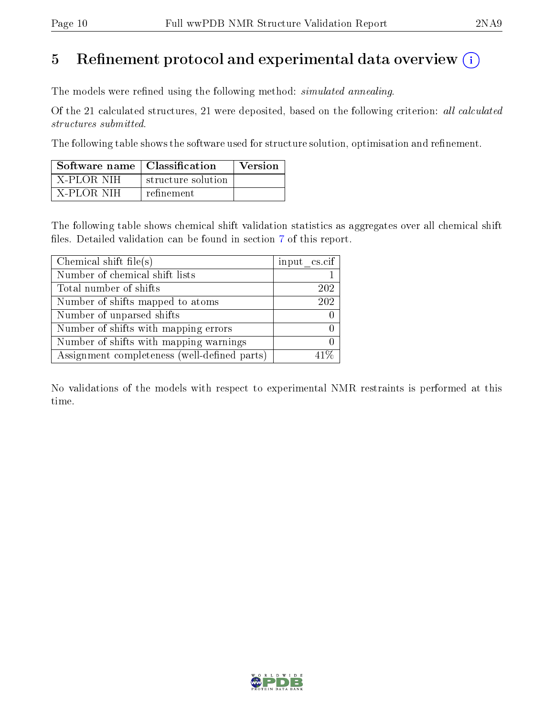# 5 Refinement protocol and experimental data overview  $\binom{1}{k}$

The models were refined using the following method: *simulated annealing*.

Of the 21 calculated structures, 21 were deposited, based on the following criterion: all calculated structures submitted.

The following table shows the software used for structure solution, optimisation and refinement.

| Software name   Classification |                    | <b>Version</b> |
|--------------------------------|--------------------|----------------|
| ' X-PLOR NIH-                  | structure solution |                |
| - X-PLOR NIH                   | refinement         |                |

The following table shows chemical shift validation statistics as aggregates over all chemical shift files. Detailed validation can be found in section [7](#page-13-0) of this report.

| Chemical shift file(s)                       | input cs.cif |
|----------------------------------------------|--------------|
| Number of chemical shift lists               |              |
| Total number of shifts                       | 202          |
| Number of shifts mapped to atoms             | 202          |
| Number of unparsed shifts                    |              |
| Number of shifts with mapping errors         |              |
| Number of shifts with mapping warnings       |              |
| Assignment completeness (well-defined parts) |              |

No validations of the models with respect to experimental NMR restraints is performed at this time.

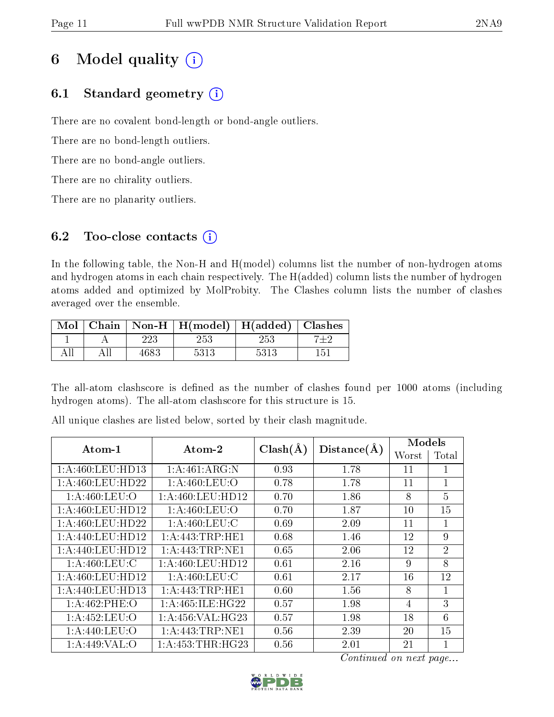# 6 Model quality  $(i)$

## 6.1 Standard geometry  $(i)$

There are no covalent bond-length or bond-angle outliers.

There are no bond-length outliers.

There are no bond-angle outliers.

There are no chirality outliers.

There are no planarity outliers.

## 6.2 Too-close contacts (i)

In the following table, the Non-H and H(model) columns list the number of non-hydrogen atoms and hydrogen atoms in each chain respectively. The H(added) column lists the number of hydrogen atoms added and optimized by MolProbity. The Clashes column lists the number of clashes averaged over the ensemble.

| Mol |         | Chain   Non-H   $H(model)$   $H(added)$ |         | Clashes |
|-----|---------|-----------------------------------------|---------|---------|
|     | $223\,$ | 253                                     | $253\,$ |         |
|     | 468?    | 5313                                    | 5313    | 151     |

The all-atom clashscore is defined as the number of clashes found per 1000 atoms (including hydrogen atoms). The all-atom clashscore for this structure is 15.

| Atom-1            | Atom-2               | $Clash(\AA)$ | Distance(A) | Models |                |
|-------------------|----------------------|--------------|-------------|--------|----------------|
|                   |                      |              |             | Worst  | Total          |
| 1:A:460:LEU:HD13  | 1:A:461:ARG:N        | 0.93         | 1.78        | 11     |                |
| 1: A:460:LEU:HD22 | 1: A:460: LEU:O      | 0.78         | 1.78        | 11     | $\mathbf{1}$   |
| 1: A:460:LEU:O    | 1: A:460:LEU:HD12    | 0.70         | 1.86        | 8      | 5              |
| 1:A:460:LEU:HD12  | 1: A:460:LEU:O       | 0.70         | 1.87        | 10     | 15             |
| 1:A:460:LEU:HD22  | 1: A:460:LEU:C       | 0.69         | 2.09        | 11     | 1              |
| 1:A:440:LEU:HD12  | 1: A:443:TRP:HE1     | 0.68         | 1.46        | 12     | 9              |
| 1:A:440:LEU:HD12  | 1: A: 443: TRP: NE1  | 0.65         | 2.06        | 12     | $\overline{2}$ |
| 1: A:460:LEU:C    | 1: A:460:LEU:HD12    | 0.61         | 2.16        | 9      | 8              |
| 1:A:460:LEU:HD12  | 1: A:460:LEU:C       | 0.61         | 2.17        | 16     | 12             |
| 1:A:440:LEU:HD13  | 1: A:443:TRP:HE1     | 0.60         | 1.56        | 8      | $\mathbf{1}$   |
| 1:A:462:PHE:O     | 1: A:465: ILE: HG22  | 0.57         | 1.98        | 4      | 3              |
| 1:A:452:LEU:O     | 1: A: 456: VAL: HG23 | 0.57         | 1.98        | 18     | 6              |
| 1: A:440:LEU:O    | 1: A: 443: TRP: NE1  | 0.56         | 2.39        | 20     | 15             |
| 1:A:449:VAL:O     | 1: A: 453: THR: HG23 | 0.56         | 2.01        | 21     |                |

All unique clashes are listed below, sorted by their clash magnitude.

Continued on next page...

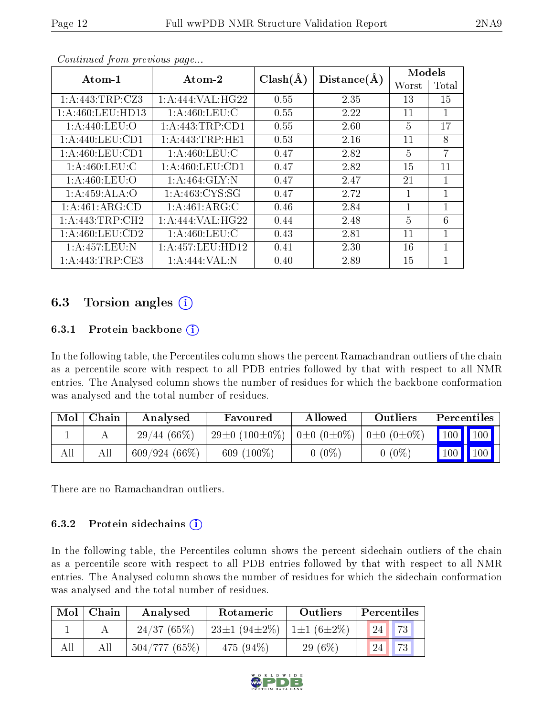| Atom-1              | Atom-2              |              | Distance(A) | Models       |                |  |
|---------------------|---------------------|--------------|-------------|--------------|----------------|--|
|                     |                     | $Clash(\AA)$ |             | Worst        | Total          |  |
| 1:A:443:TRP:CZ3     | 1:A:444:VAL:HG22    | 0.55         | 2.35        | 13           | 15             |  |
| 1: A:460: LEU: HD13 | 1: A:460:LEU:C      | 0.55         | 2.22        | 11           | 1              |  |
| 1: A:440:LEU:O      | 1: A:443:TRP:CD1    | 0.55         | 2.60        | 5            | 17             |  |
| 1: A:440: LEU: CD1  | 1: A: 443: TRP: HE1 | 0.53         | 2.16        | 11           | 8              |  |
| 1: A:460: LEU: CD1  | 1: A:460:LEU:C      | 0.47         | 2.82        | 5            | $\overline{7}$ |  |
| 1: A:460:LEU:C      | 1: A:460:LEU:CD1    | 0.47         | 2.82        | 15           | 11             |  |
| 1: A:460:LEU:O      | 1: A:464: GLY:N     | 0.47         | 2.47        | 21           | $\mathbf{1}$   |  |
| 1:A:459:ALA:O       | 1: A: 463: CYS:SG   | 0.47         | 2.72        |              | $\mathbf{1}$   |  |
| 1:A:461:ARG:CD      | 1:A:461:ARG:C       | 0.46         | 2.84        | $\mathbf{1}$ | $\mathbf{1}$   |  |
| 1:A:443:TRP:CH2     | 1:A:444:VAL:HG22    | 0.44         | 2.48        | 5            | 6              |  |
| 1: A:460:LEU:CD2    | 1: A:460:LEU:C      | 0.43         | 2.81        | 11           | 1              |  |
| 1:A:457:LEU:N       | 1: A:457:LEU:HD12   | 0.41         | 2.30        | 16           | 1              |  |
| 1: A:443:TRP:CE3    | 1:A:444:VAL:N       | 0.40         | 2.89        | 15           |                |  |

Continued from previous page...

## 6.3 Torsion angles  $(i)$

### 6.3.1 Protein backbone (i)

In the following table, the Percentiles column shows the percent Ramachandran outliers of the chain as a percentile score with respect to all PDB entries followed by that with respect to all NMR entries. The Analysed column shows the number of residues for which the backbone conformation was analysed and the total number of residues.

| Mol | Chain | Analysed        | Favoured                                                                   | Allowed  | Outliers | <b>Percentiles</b>              |  |
|-----|-------|-----------------|----------------------------------------------------------------------------|----------|----------|---------------------------------|--|
|     |       | $29/44(66\%)$   | $29\pm0$ (100 $\pm0\%$ )   0 $\pm0$ (0 $\pm0\%$ )   0 $\pm0$ (0 $\pm0\%$ ) |          |          | 100 100                         |  |
| All | Αll   | $609/924(66\%)$ | 609 $(100\%)$                                                              | $0(0\%)$ | $0(0\%)$ | $\vert$ 100 $\vert$ 100 $\vert$ |  |

There are no Ramachandran outliers.

### 6.3.2 Protein sidechains  $(i)$

In the following table, the Percentiles column shows the percent sidechain outliers of the chain as a percentile score with respect to all PDB entries followed by that with respect to all NMR entries. The Analysed column shows the number of residues for which the sidechain conformation was analysed and the total number of residues.

| Mol | Chain | Analysed     | Rotameric                                        | Outliers  |    | Percentiles |  |
|-----|-------|--------------|--------------------------------------------------|-----------|----|-------------|--|
|     |       | 24/37(65%)   | $23\pm1$ (94 $\pm2\%$ )   1 $\pm1$ (6 $\pm2\%$ ) |           | 24 | 73          |  |
| All |       | 504/777(65%) | 475 $(94\%)$                                     | $29(6\%)$ |    | 73          |  |

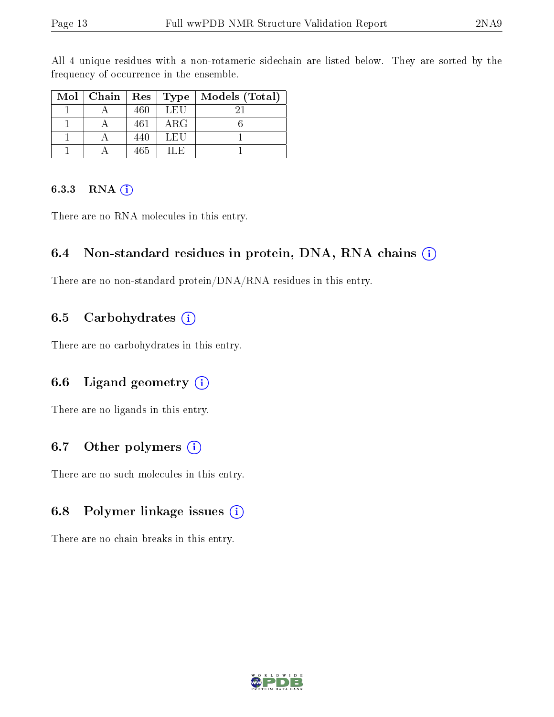|  |     |            | Mol   Chain   Res   Type   Models (Total) |
|--|-----|------------|-------------------------------------------|
|  | 460 | LEU        |                                           |
|  | 461 | $\rm{ARG}$ |                                           |
|  | 440 | LEU        |                                           |
|  | 465 | ILE.       |                                           |

All 4 unique residues with a non-rotameric sidechain are listed below. They are sorted by the frequency of occurrence in the ensemble.

#### 6.3.3 RNA  $(i)$

There are no RNA molecules in this entry.

## 6.4 Non-standard residues in protein, DNA, RNA chains  $(i)$

There are no non-standard protein/DNA/RNA residues in this entry.

## 6.5 Carbohydrates  $(i)$

There are no carbohydrates in this entry.

## 6.6 Ligand geometry  $(i)$

There are no ligands in this entry.

## 6.7 [O](https://www.wwpdb.org/validation/2017/NMRValidationReportHelp#nonstandard_residues_and_ligands)ther polymers  $(i)$

There are no such molecules in this entry.

## 6.8 Polymer linkage issues  $(i)$

There are no chain breaks in this entry.

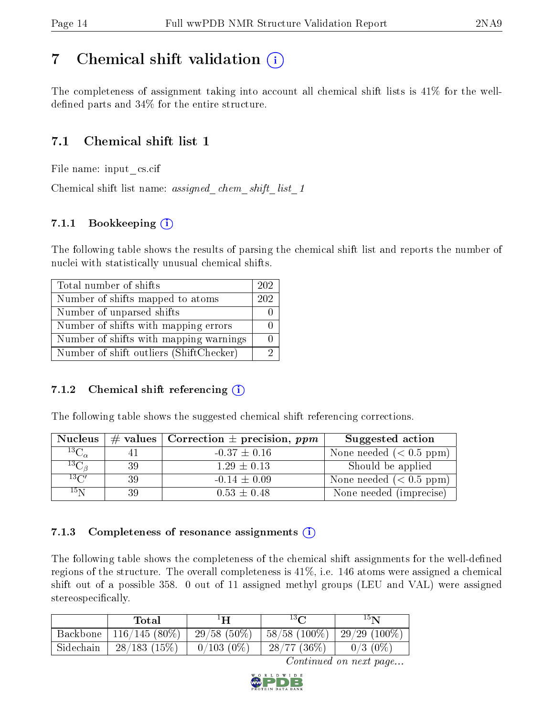## <span id="page-13-0"></span>7 Chemical shift validation  $\left( \begin{array}{c} \overline{\phantom{a}} \\ \overline{\phantom{a}} \end{array} \right)$

The completeness of assignment taking into account all chemical shift lists is 41% for the welldefined parts and  $34\%$  for the entire structure.

## 7.1 Chemical shift list 1

File name: input\_cs.cif

Chemical shift list name: *assigned\_chem\_shift\_list\_1* 

## 7.1.1 Bookkeeping (i)

The following table shows the results of parsing the chemical shift list and reports the number of nuclei with statistically unusual chemical shifts.

| Total number of shifts                  | 202 |
|-----------------------------------------|-----|
| Number of shifts mapped to atoms        | 202 |
| Number of unparsed shifts               |     |
| Number of shifts with mapping errors    |     |
| Number of shifts with mapping warnings  |     |
| Number of shift outliers (ShiftChecker) |     |

### 7.1.2 Chemical shift referencing  $(i)$

The following table shows the suggested chemical shift referencing corrections.

| <b>Nucleus</b>      |     | # values   Correction $\pm$ precision, ppm | Suggested action        |
|---------------------|-----|--------------------------------------------|-------------------------|
| ${}^{13}C_{\alpha}$ |     | $-0.37 \pm 0.16$                           | None needed $(0.5 ppm)$ |
| ${}^{13}C_{\beta}$  | -39 | $1.29 \pm 0.13$                            | Should be applied       |
| $13\text{C}$        | 39  | $-0.14 \pm 0.09$                           | None needed $(0.5 ppm)$ |
| $15\,\mathrm{N}$    | 39  | $0.53 \pm 0.48$                            | None needed (imprecise) |

### 7.1.3 Completeness of resonance assignments  $(i)$

The following table shows the completeness of the chemical shift assignments for the well-defined regions of the structure. The overall completeness is 41%, i.e. 146 atoms were assigned a chemical shift out of a possible 358. 0 out of 11 assigned methyl groups (LEU and VAL) were assigned stereospecifically.

|           | Total           | $1\mathbf{H}$ | $13\Omega$      | $15\mathbf{N}$  |
|-----------|-----------------|---------------|-----------------|-----------------|
| Backbone  | $116/145(80\%)$ | $29/58(50\%)$ | $58/58$ (100\%) | 29/29 $(100\%)$ |
| Sidechain | $28/183$ (15%)  | $0/103(0\%)$  | 28/77(36%)      | $0/3$ (0\%)     |

Continued on next page...

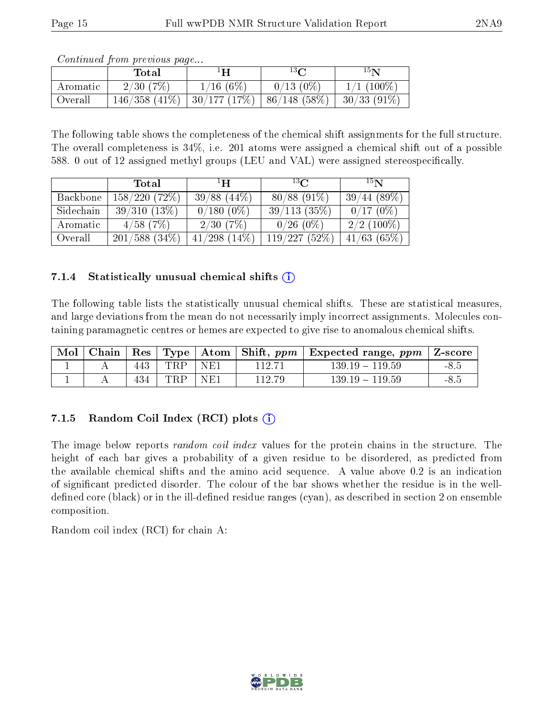|          | Contribution provided buyers.<br>Total | ŦН                        | $13\Omega$  | 15 <sub>N</sub> |
|----------|----------------------------------------|---------------------------|-------------|-----------------|
| Aromatic | 2/30(7%)                               | 1/16(6%)                  | $0/13(0\%)$ | $1/1$ (100\%)   |
| Overall  | $146/358$ $(41\%)$                     | $\mid 30/177~(17\%) \mid$ | 86/148(58%) | $-30/33(91\%)$  |

Continued from previous page...

The following table shows the completeness of the chemical shift assignments for the full structure. The overall completeness is 34%, i.e. 201 atoms were assigned a chemical shift out of a possible 588. 0 out of 12 assigned methyl groups (LEU and VAL) were assigned stereospecifically.

|           | Total              | $\mathbf{H}^1$    | $^{13}C$      | 15 <sub>N</sub> |
|-----------|--------------------|-------------------|---------------|-----------------|
| Backbone  | 158/220(72%)       | $39/88$ $(44\%)$  | $80/88(91\%)$ | 39/44(89%)      |
| Sidechain | 39/310(13%)        | $0/180(0\%)$      | 39/113(35%)   | $0/17(0\%)$     |
| Aromatic  | $4/58$ (7\%)       | 2/30(7%)          | $0/26(0\%)$   | $2/2$ (100\%)   |
| Overall   | $201/588$ $(34\%)$ | $41/298$ $(14\%)$ | 119/227(52%)  | $41/63$ (65%)   |

### 7.1.4 Statistically unusual chemical shifts  $(i)$

The following table lists the statistically unusual chemical shifts. These are statistical measures, and large deviations from the mean do not necessarily imply incorrect assignments. Molecules containing paramagnetic centres or hemes are expected to give rise to anomalous chemical shifts.

| Mol |     |     |     |        | Chain   Res   Type   Atom   Shift, ppm   Expected range, ppm   Z-score |        |
|-----|-----|-----|-----|--------|------------------------------------------------------------------------|--------|
|     | 443 | TRP | NFA | 112.71 | $139.19 - 119.59$                                                      | $-8.5$ |
|     | 434 | TRP | NE1 | 112.79 | $139.19 - 119.59$                                                      | - റ. പ |

## 7.1.5 Random Coil Index  $(RCI)$  plots  $(i)$

The image below reports *random coil index* values for the protein chains in the structure. The height of each bar gives a probability of a given residue to be disordered, as predicted from the available chemical shifts and the amino acid sequence. A value above 0.2 is an indication of signicant predicted disorder. The colour of the bar shows whether the residue is in the welldefined core (black) or in the ill-defined residue ranges (cyan), as described in section 2 on ensemble composition.

Random coil index (RCI) for chain A: